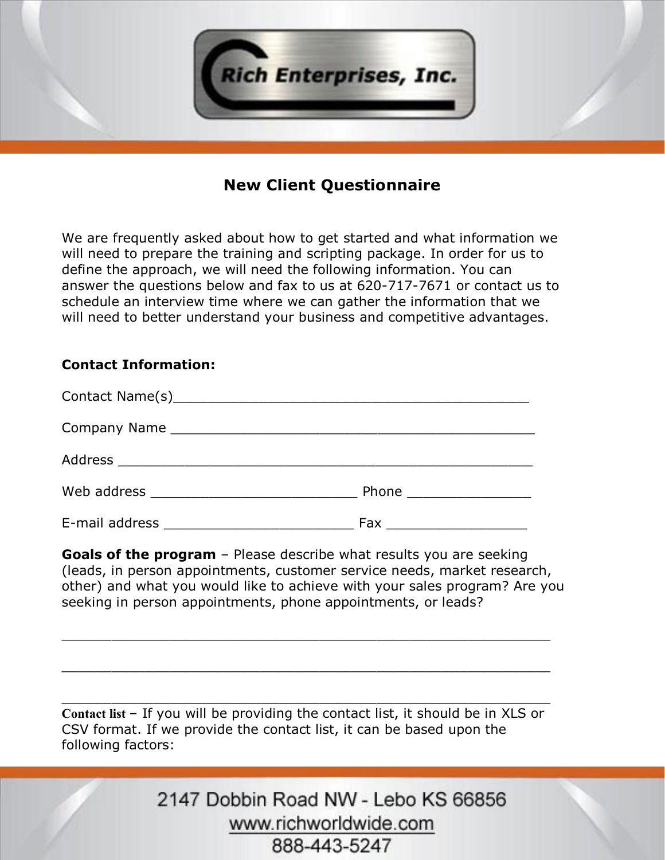

## **New Client Questionnaire**

We are frequently asked about how to get started and what information we will need to prepare the training and scripting package. In order for us to define the approach, we will need the following information. You can answer the questions below and fax to us at 620-717-7671 or contact us to schedule an interview time where we can gather the information that we will need to better understand your business and competitive advantages.

## **Contact Information:**

|                | Phone <u>__________</u> |
|----------------|-------------------------|
| E-mail address | Fax                     |

**Goals of the program** – Please describe what results you are seeking (leads, in person appointments, customer service needs, market research, other) and what you would like to achieve with your sales program? Are you seeking in person appointments, phone appointments, or leads?

\_\_\_\_\_\_\_\_\_\_\_\_\_\_\_\_\_\_\_\_\_\_\_\_\_\_\_\_\_\_\_\_\_\_\_\_\_\_\_\_\_\_\_\_\_\_\_\_\_\_\_\_\_\_\_\_\_\_\_

\_\_\_\_\_\_\_\_\_\_\_\_\_\_\_\_\_\_\_\_\_\_\_\_\_\_\_\_\_\_\_\_\_\_\_\_\_\_\_\_\_\_\_\_\_\_\_\_\_\_\_\_\_\_\_\_\_\_\_

\_\_\_\_\_\_\_\_\_\_\_\_\_\_\_\_\_\_\_\_\_\_\_\_\_\_\_\_\_\_\_\_\_\_\_\_\_\_\_\_\_\_\_\_\_\_\_\_\_\_\_\_\_\_\_\_\_\_\_

**Contact list** – If you will be providing the contact list, it should be in XLS or CSV format. If we provide the contact list, it can be based upon the following factors: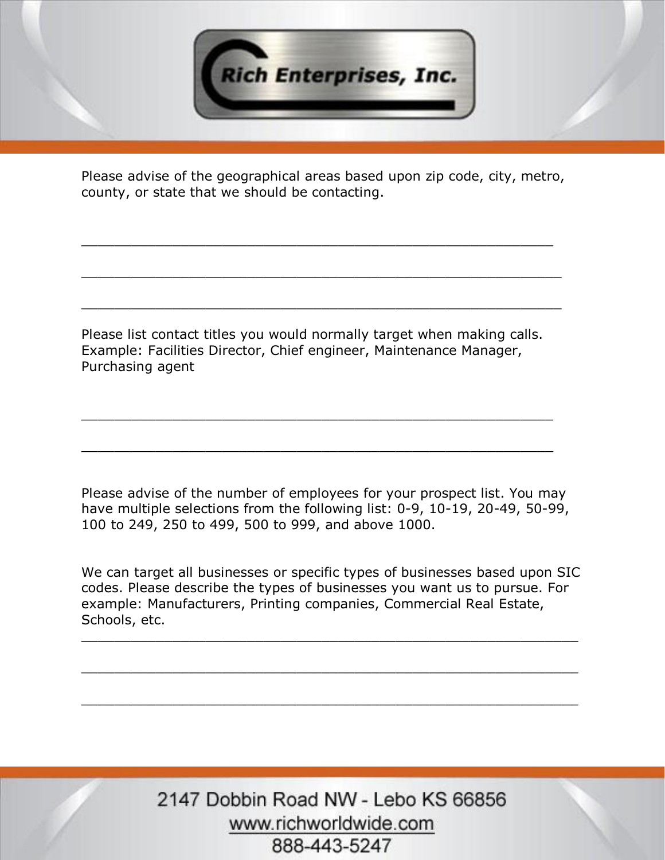

Please advise of the geographical areas based upon zip code, city, metro, county, or state that we should be contacting.

\_\_\_\_\_\_\_\_\_\_\_\_\_\_\_\_\_\_\_\_\_\_\_\_\_\_\_\_\_\_\_\_\_\_\_\_\_\_\_\_\_\_\_\_\_\_\_\_\_\_\_\_\_\_\_\_\_

\_\_\_\_\_\_\_\_\_\_\_\_\_\_\_\_\_\_\_\_\_\_\_\_\_\_\_\_\_\_\_\_\_\_\_\_\_\_\_\_\_\_\_\_\_\_\_\_\_\_\_\_\_\_\_\_\_\_

\_\_\_\_\_\_\_\_\_\_\_\_\_\_\_\_\_\_\_\_\_\_\_\_\_\_\_\_\_\_\_\_\_\_\_\_\_\_\_\_\_\_\_\_\_\_\_\_\_\_\_\_\_\_\_\_\_\_

Please list contact titles you would normally target when making calls. Example: Facilities Director, Chief engineer, Maintenance Manager, Purchasing agent

\_\_\_\_\_\_\_\_\_\_\_\_\_\_\_\_\_\_\_\_\_\_\_\_\_\_\_\_\_\_\_\_\_\_\_\_\_\_\_\_\_\_\_\_\_\_\_\_\_\_\_\_\_\_\_\_\_

\_\_\_\_\_\_\_\_\_\_\_\_\_\_\_\_\_\_\_\_\_\_\_\_\_\_\_\_\_\_\_\_\_\_\_\_\_\_\_\_\_\_\_\_\_\_\_\_\_\_\_\_\_\_\_\_\_

Please advise of the number of employees for your prospect list. You may have multiple selections from the following list: 0-9, 10-19, 20-49, 50-99, 100 to 249, 250 to 499, 500 to 999, and above 1000.

We can target all businesses or specific types of businesses based upon SIC codes. Please describe the types of businesses you want us to pursue. For example: Manufacturers, Printing companies, Commercial Real Estate, Schools, etc.

\_\_\_\_\_\_\_\_\_\_\_\_\_\_\_\_\_\_\_\_\_\_\_\_\_\_\_\_\_\_\_\_\_\_\_\_\_\_\_\_\_\_\_\_\_\_\_\_\_\_\_\_\_\_\_\_\_\_\_\_

\_\_\_\_\_\_\_\_\_\_\_\_\_\_\_\_\_\_\_\_\_\_\_\_\_\_\_\_\_\_\_\_\_\_\_\_\_\_\_\_\_\_\_\_\_\_\_\_\_\_\_\_\_\_\_\_\_\_\_\_

\_\_\_\_\_\_\_\_\_\_\_\_\_\_\_\_\_\_\_\_\_\_\_\_\_\_\_\_\_\_\_\_\_\_\_\_\_\_\_\_\_\_\_\_\_\_\_\_\_\_\_\_\_\_\_\_\_\_\_\_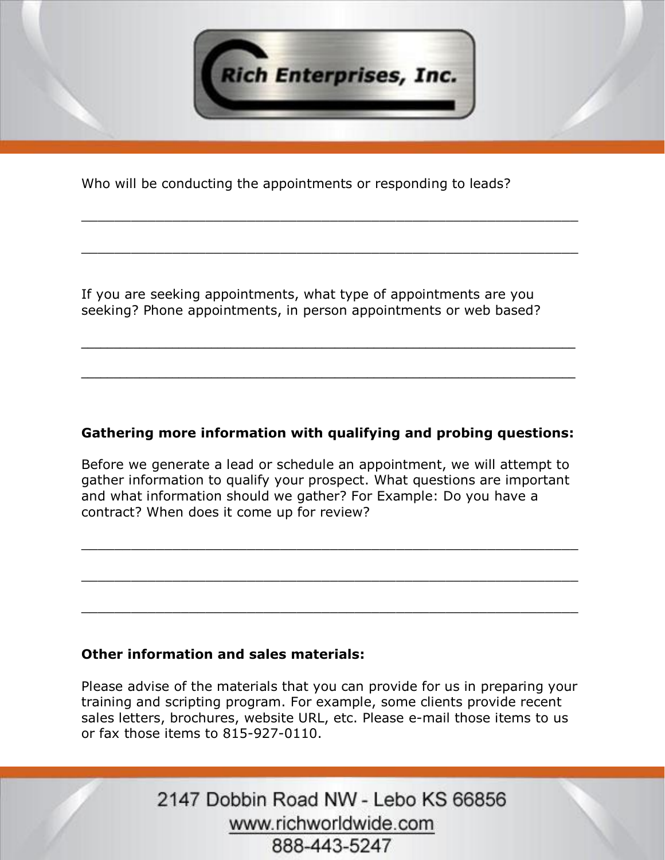

\_\_\_\_\_\_\_\_\_\_\_\_\_\_\_\_\_\_\_\_\_\_\_\_\_\_\_\_\_\_\_\_\_\_\_\_\_\_\_\_\_\_\_\_\_\_\_\_\_\_\_\_\_\_\_\_\_\_\_\_

\_\_\_\_\_\_\_\_\_\_\_\_\_\_\_\_\_\_\_\_\_\_\_\_\_\_\_\_\_\_\_\_\_\_\_\_\_\_\_\_\_\_\_\_\_\_\_\_\_\_\_\_\_\_\_\_\_\_\_\_

Who will be conducting the appointments or responding to leads?

If you are seeking appointments, what type of appointments are you seeking? Phone appointments, in person appointments or web based?

## **Gathering more information with qualifying and probing questions:**

**\_\_\_\_\_\_\_\_\_\_\_\_\_\_\_\_\_\_\_\_\_\_\_\_\_\_\_\_\_\_\_\_\_\_\_\_\_\_\_\_\_\_\_\_\_\_\_\_\_\_\_\_\_\_\_\_\_\_\_\_\_\_\_\_\_\_\_\_\_\_\_\_\_\_\_\_**

**\_\_\_\_\_\_\_\_\_\_\_\_\_\_\_\_\_\_\_\_\_\_\_\_\_\_\_\_\_\_\_\_\_\_\_\_\_\_\_\_\_\_\_\_\_\_\_\_\_\_\_\_\_\_\_\_\_\_\_\_\_\_\_\_\_\_\_\_\_\_\_\_\_\_\_\_**

Before we generate a lead or schedule an appointment, we will attempt to gather information to qualify your prospect. What questions are important and what information should we gather? For Example: Do you have a contract? When does it come up for review?

\_\_\_\_\_\_\_\_\_\_\_\_\_\_\_\_\_\_\_\_\_\_\_\_\_\_\_\_\_\_\_\_\_\_\_\_\_\_\_\_\_\_\_\_\_\_\_\_\_\_\_\_\_\_\_\_\_\_\_\_

\_\_\_\_\_\_\_\_\_\_\_\_\_\_\_\_\_\_\_\_\_\_\_\_\_\_\_\_\_\_\_\_\_\_\_\_\_\_\_\_\_\_\_\_\_\_\_\_\_\_\_\_\_\_\_\_\_\_\_\_

\_\_\_\_\_\_\_\_\_\_\_\_\_\_\_\_\_\_\_\_\_\_\_\_\_\_\_\_\_\_\_\_\_\_\_\_\_\_\_\_\_\_\_\_\_\_\_\_\_\_\_\_\_\_\_\_\_\_\_\_

## **Other information and sales materials:**

Please advise of the materials that you can provide for us in preparing your training and scripting program. For example, some clients provide recent sales letters, brochures, website URL, etc. Please e-mail those items to us or fax those items to 815-927-0110.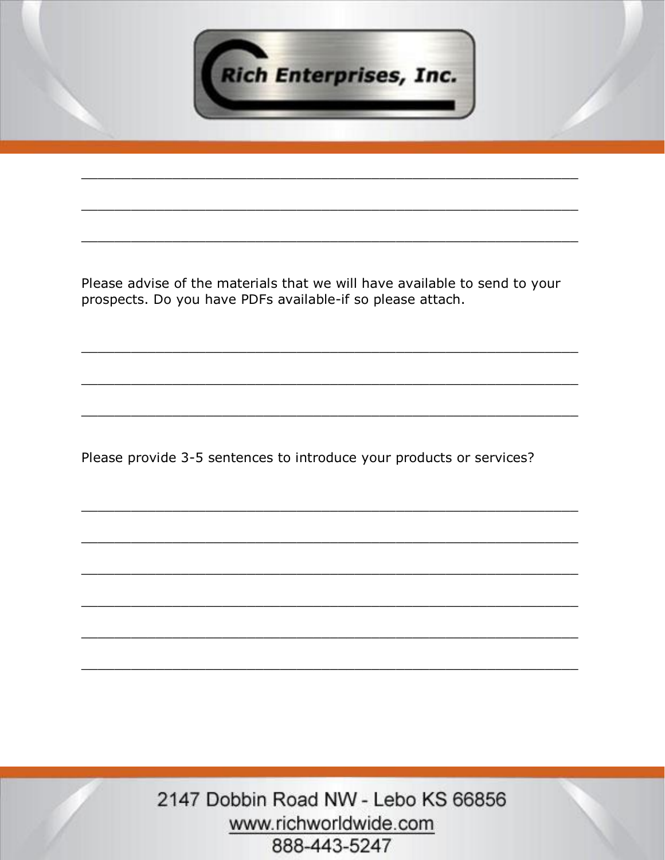